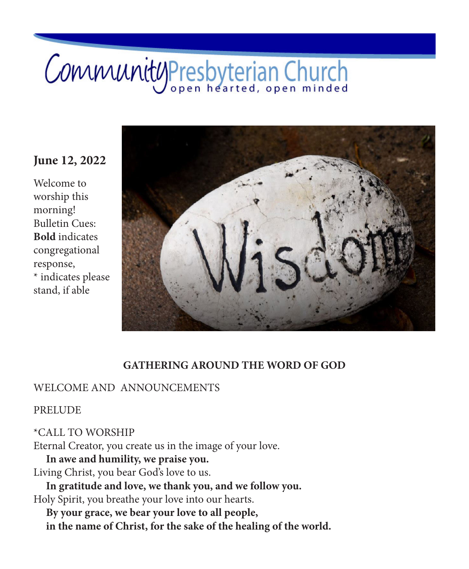# CommunityPresbyterian Church

# **June 12, 2022**

Welcome to worship this morning! Bulletin Cues: **Bold** indicates congregational response,  $^\star$  indicates please stand, if able



### **GATHERING AROUND THE WORD OF GOD**

### WELCOME AND ANNOUNCEMENTS

PRELUDE

\*CALL TO WORSHIP Eternal Creator, you create us in the image of your love. **In awe and humility, we praise you.** Living Christ, you bear God's love to us. **In gratitude and love, we thank you, and we follow you.** Holy Spirit, you breathe your love into our hearts.

**By your grace, we bear your love to all people, in the name of Christ, for the sake of the healing of the world.**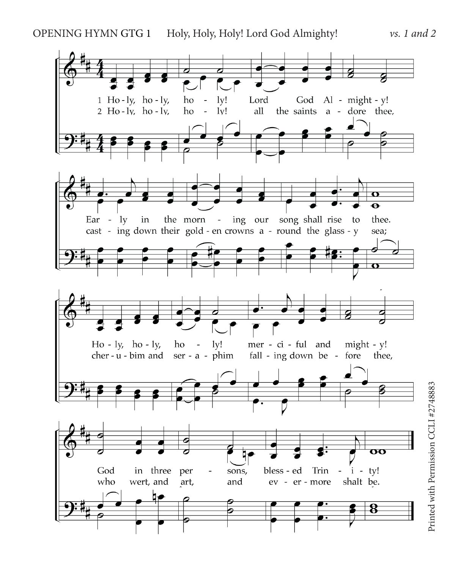

Printed with Permission CCLI #2748883 Printed with Permission CCLI #2748883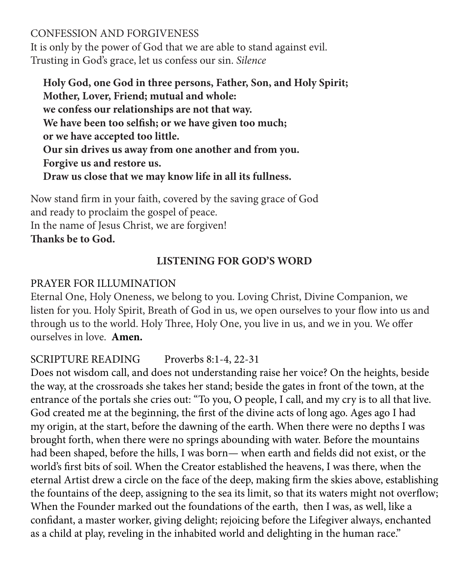CONFESSION AND FORGIVENESS It is only by the power of God that we are able to stand against evil. Trusting in God's grace, let us confess our sin. *Silence*

**Holy God, one God in three persons, Father, Son, and Holy Spirit; Mother, Lover, Friend; mutual and whole: we confess our relationships are not that way. We have been too selfish; or we have given too much; or we have accepted too little. Our sin drives us away from one another and from you. Forgive us and restore us. Draw us close that we may know life in all its fullness.**

Now stand firm in your faith, covered by the saving grace of God and ready to proclaim the gospel of peace. In the name of Jesus Christ, we are forgiven! **Thanks be to God.**

# **LISTENING FOR GOD'S WORD**

# PRAYER FOR ILLUMINATION

Eternal One, Holy Oneness, we belong to you. Loving Christ, Divine Companion, we listen for you. Holy Spirit, Breath of God in us, we open ourselves to your flow into us and through us to the world. Holy Three, Holy One, you live in us, and we in you. We offer ourselves in love. **Amen.**

# SCRIPTURE READING Proverbs 8:1-4, 22-31

Does not wisdom call, and does not understanding raise her voice? On the heights, beside the way, at the crossroads she takes her stand; beside the gates in front of the town, at the entrance of the portals she cries out: "To you, O people, I call, and my cry is to all that live. God created me at the beginning, the first of the divine acts of long ago. Ages ago I had my origin, at the start, before the dawning of the earth. When there were no depths I was brought forth, when there were no springs abounding with water. Before the mountains had been shaped, before the hills, I was born— when earth and fields did not exist, or the world's first bits of soil. When the Creator established the heavens, I was there, when the eternal Artist drew a circle on the face of the deep, making firm the skies above, establishing the fountains of the deep, assigning to the sea its limit, so that its waters might not overflow; When the Founder marked out the foundations of the earth, then I was, as well, like a confidant, a master worker, giving delight; rejoicing before the Lifegiver always, enchanted as a child at play, reveling in the inhabited world and delighting in the human race."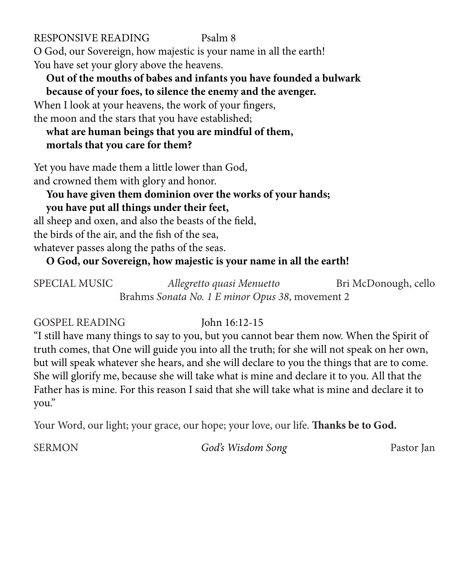RESPONSIVE READING Psalm 8 O God, our Sovereign, how majestic is your name in all the earth! You have set your glory above the heavens.

# **Out of the mouths of babes and infants you have founded a bulwark because of your foes, to silence the enemy and the avenger.**

When I look at your heavens, the work of your fingers, the moon and the stars that you have established;

# **what are human beings that you are mindful of them, mortals that you care for them?**

Yet you have made them a little lower than God, and crowned them with glory and honor.

# **You have given them dominion over the works of your hands; you have put all things under their feet,**

all sheep and oxen, and also the beasts of the field, the birds of the air, and the fish of the sea, whatever passes along the paths of the seas.

**O God, our Sovereign, how majestic is your name in all the earth!**

| <b>SPECIAL MUSIC</b>                            | Allegretto quasi Menuetto | Bri McDonough, cello |
|-------------------------------------------------|---------------------------|----------------------|
| Brahms Sonata No. 1 E minor Opus 38, movement 2 |                           |                      |

GOSPEL READING John 16:12-15

"I still have many things to say to you, but you cannot bear them now. When the Spirit of truth comes, that One will guide you into all the truth; for she will not speak on her own, but will speak whatever she hears, and she will declare to you the things that are to come. She will glorify me, because she will take what is mine and declare it to you. All that the Father has is mine. For this reason I said that she will take what is mine and declare it to you."

Your Word, our light; your grace, our hope; your love, our life. **Thanks be to God.** 

SERMON *God's Wisdom Song* Pastor Jan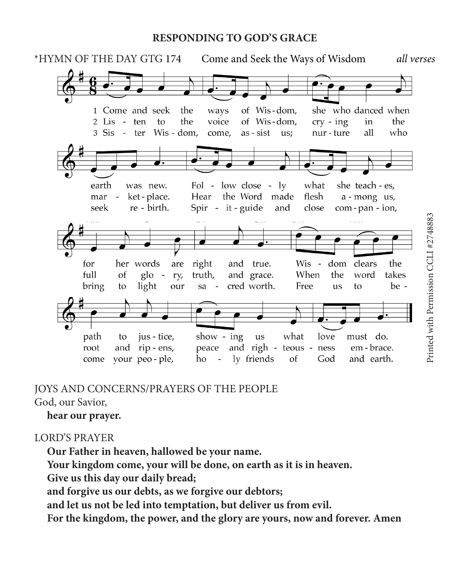### **RESPONDING TO GOD'S GRACE**



## JOYS AND CONCERNS/PRAYERS OF THE PEOPLE

God, our Savior,

**hear our prayer.**

### LORD'S PRAYER

**Our Father in heaven, hallowed be your name.**

**Your kingdom come, your will be done, on earth as it is in heaven.**

**Give us this day our daily bread;**

**and forgive us our debts, as we forgive our debtors;**

**and let us not be led into temptation, but deliver us from evil.**

**For the kingdom, the power, and the glory are yours, now and forever. Amen**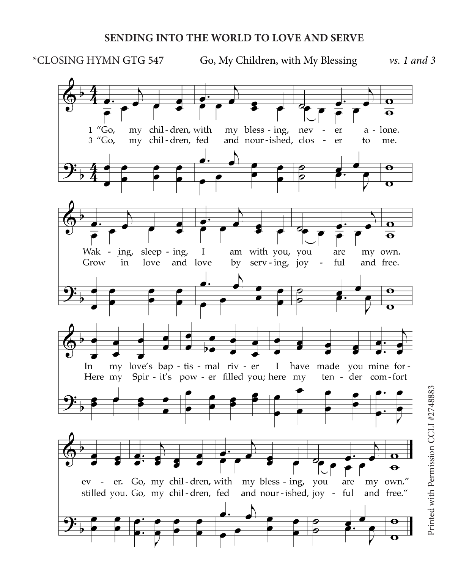### **SENDING INTO THE WORLD TO LOVE AND SERVE**

\*CLOSING HYMN GTG 547 Go, My Children, with My Blessing *vs. 1 and 3*

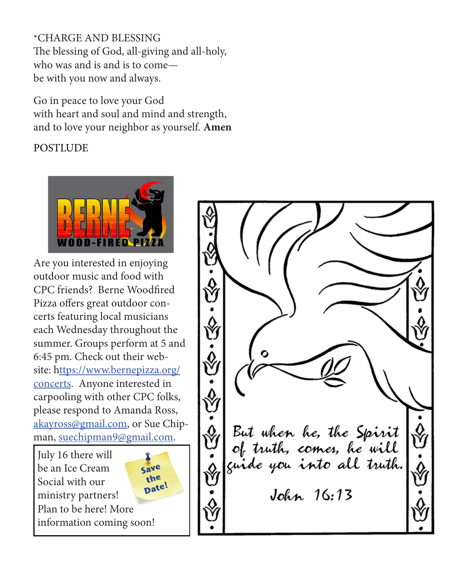\*CHARGE AND BLESSING The blessing of God, all-giving and all-holy, who was and is and is to come be with you now and always.

Go in peace to love your God with heart and soul and mind and strength, and to love your neighbor as yourself. **Amen**

**POSTLUDE** 



Are you interested in enjoying outdoor music and food with CPC friends? Berne Woodfired Pizza offers great outdoor concerts featuring local musicians each Wednesday throughout the summer. Groups perform at 5 and 6:45 pm. Check out their website: [https://www.bernepizza.org/](ttps://www.bernepizza.org/concerts) [concerts](ttps://www.bernepizza.org/concerts). Anyone interested in carpooling with other CPC folks, please respond to Amanda Ross, [akayross@gmail.com,](mailto:akayross%40gmail.com?subject=) or Sue Chipman, [suechipman9@gmail.com](mailto:suechipman9%40gmail.com?subject=).